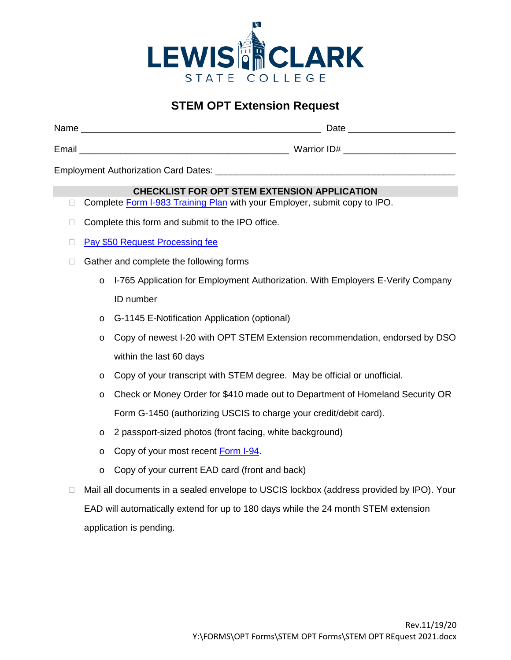

## **STEM OPT Extension Request**

| Name  | Date        |
|-------|-------------|
| Email | Warrior ID# |

Employment Authorization Card Dates: \_\_\_\_\_\_\_\_\_\_\_\_\_\_\_\_\_\_\_\_\_\_\_\_\_\_\_\_\_\_\_\_\_\_\_\_\_\_\_\_\_\_\_\_\_\_\_

## **CHECKLIST FOR OPT STEM EXTENSION APPLICATION**

- □ Complete [Form I-983 Training Plan](https://www.ice.gov/doclib/sevis/pdf/i983.pdf) with your Employer, submit copy to IPO.
- $\Box$  Complete this form and submit to the IPO office.
- □ [Pay \\$50 Request Processing](https://www.officialpayments.com/pc_template_cobrand.jsp?body=pc_step2_body.jsp&OWASP_CSRFTOKEN=PBZ5-CIX7-WVEJ-QN7F-032T-54RB-ME66-Y78I) fee
- $\Box$  Gather and complete the following forms
	- o I-765 Application for Employment Authorization. With Employers E-Verify Company ID number
	- o G-1145 E-Notification Application (optional)
	- o Copy of newest I-20 with OPT STEM Extension recommendation, endorsed by DSO within the last 60 days
	- o Copy of your transcript with STEM degree. May be official or unofficial.
	- o Check or Money Order for \$410 made out to Department of Homeland Security OR Form G-1450 (authorizing USCIS to charge your credit/debit card).
	- o 2 passport-sized photos (front facing, white background)
	- o Copy of your most recent [Form I-94.](https://i94.cbp.dhs.gov/I94/#/home)
	- o Copy of your current EAD card (front and back)
- □ Mail all documents in a sealed envelope to USCIS lockbox (address provided by IPO). Your EAD will automatically extend for up to 180 days while the 24 month STEM extension application is pending.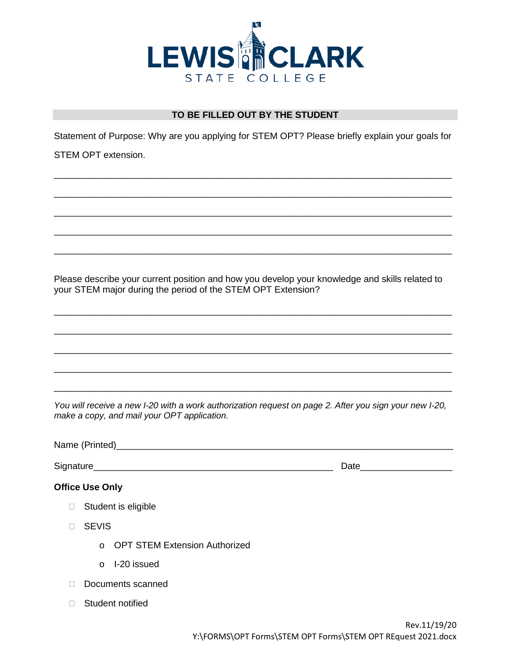

## **TO BE FILLED OUT BY THE STUDENT**

Statement of Purpose: Why are you applying for STEM OPT? Please briefly explain your goals for

\_\_\_\_\_\_\_\_\_\_\_\_\_\_\_\_\_\_\_\_\_\_\_\_\_\_\_\_\_\_\_\_\_\_\_\_\_\_\_\_\_\_\_\_\_\_\_\_\_\_\_\_\_\_\_\_\_\_\_\_\_\_\_\_\_\_\_\_\_\_\_\_\_\_\_\_\_\_

\_\_\_\_\_\_\_\_\_\_\_\_\_\_\_\_\_\_\_\_\_\_\_\_\_\_\_\_\_\_\_\_\_\_\_\_\_\_\_\_\_\_\_\_\_\_\_\_\_\_\_\_\_\_\_\_\_\_\_\_\_\_\_\_\_\_\_\_\_\_\_\_\_\_\_\_\_\_

\_\_\_\_\_\_\_\_\_\_\_\_\_\_\_\_\_\_\_\_\_\_\_\_\_\_\_\_\_\_\_\_\_\_\_\_\_\_\_\_\_\_\_\_\_\_\_\_\_\_\_\_\_\_\_\_\_\_\_\_\_\_\_\_\_\_\_\_\_\_\_\_\_\_\_\_\_\_

\_\_\_\_\_\_\_\_\_\_\_\_\_\_\_\_\_\_\_\_\_\_\_\_\_\_\_\_\_\_\_\_\_\_\_\_\_\_\_\_\_\_\_\_\_\_\_\_\_\_\_\_\_\_\_\_\_\_\_\_\_\_\_\_\_\_\_\_\_\_\_\_\_\_\_\_\_\_

\_\_\_\_\_\_\_\_\_\_\_\_\_\_\_\_\_\_\_\_\_\_\_\_\_\_\_\_\_\_\_\_\_\_\_\_\_\_\_\_\_\_\_\_\_\_\_\_\_\_\_\_\_\_\_\_\_\_\_\_\_\_\_\_\_\_\_\_\_\_\_\_\_\_\_\_\_\_

STEM OPT extension.

Please describe your current position and how you develop your knowledge and skills related to your STEM major during the period of the STEM OPT Extension?

\_\_\_\_\_\_\_\_\_\_\_\_\_\_\_\_\_\_\_\_\_\_\_\_\_\_\_\_\_\_\_\_\_\_\_\_\_\_\_\_\_\_\_\_\_\_\_\_\_\_\_\_\_\_\_\_\_\_\_\_\_\_\_\_\_\_\_\_\_\_\_\_\_\_\_\_\_\_

\_\_\_\_\_\_\_\_\_\_\_\_\_\_\_\_\_\_\_\_\_\_\_\_\_\_\_\_\_\_\_\_\_\_\_\_\_\_\_\_\_\_\_\_\_\_\_\_\_\_\_\_\_\_\_\_\_\_\_\_\_\_\_\_\_\_\_\_\_\_\_\_\_\_\_\_\_\_

\_\_\_\_\_\_\_\_\_\_\_\_\_\_\_\_\_\_\_\_\_\_\_\_\_\_\_\_\_\_\_\_\_\_\_\_\_\_\_\_\_\_\_\_\_\_\_\_\_\_\_\_\_\_\_\_\_\_\_\_\_\_\_\_\_\_\_\_\_\_\_\_\_\_\_\_\_\_

\_\_\_\_\_\_\_\_\_\_\_\_\_\_\_\_\_\_\_\_\_\_\_\_\_\_\_\_\_\_\_\_\_\_\_\_\_\_\_\_\_\_\_\_\_\_\_\_\_\_\_\_\_\_\_\_\_\_\_\_\_\_\_\_\_\_\_\_\_\_\_\_\_\_\_\_\_\_

\_\_\_\_\_\_\_\_\_\_\_\_\_\_\_\_\_\_\_\_\_\_\_\_\_\_\_\_\_\_\_\_\_\_\_\_\_\_\_\_\_\_\_\_\_\_\_\_\_\_\_\_\_\_\_\_\_\_\_\_\_\_\_\_\_\_\_\_\_\_\_\_\_\_\_\_\_\_

*You will receive a new I-20 with a work authorization request on page 2. After you sign your new I-20, make a copy, and mail your OPT application.* 

Name (Printed)\_\_\_\_\_\_\_\_\_\_\_\_\_\_\_\_\_\_\_\_\_\_\_\_\_\_\_\_\_\_\_\_\_\_\_\_\_\_\_\_\_\_\_\_\_\_\_\_\_\_\_\_\_\_\_\_\_\_\_\_\_\_\_\_\_\_

Signature\_\_\_\_\_\_\_\_\_\_\_\_\_\_\_\_\_\_\_\_\_\_\_\_\_\_\_\_\_\_\_\_\_\_\_\_\_\_\_\_\_\_\_\_\_\_\_ Date\_\_\_\_\_\_\_\_\_\_\_\_\_\_\_\_\_\_

- **Office Use Only**
	- □ Student is eligible
	- SEVIS
		- o OPT STEM Extension Authorized
		- o I-20 issued
	- Documents scanned
	- □ Student notified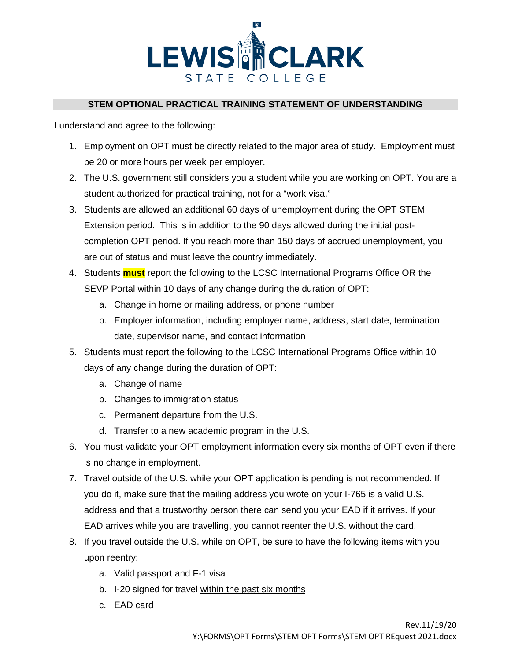

## **STEM OPTIONAL PRACTICAL TRAINING STATEMENT OF UNDERSTANDING**

I understand and agree to the following:

- 1. Employment on OPT must be directly related to the major area of study. Employment must be 20 or more hours per week per employer.
- 2. The U.S. government still considers you a student while you are working on OPT. You are a student authorized for practical training, not for a "work visa."
- 3. Students are allowed an additional 60 days of unemployment during the OPT STEM Extension period. This is in addition to the 90 days allowed during the initial postcompletion OPT period. If you reach more than 150 days of accrued unemployment, you are out of status and must leave the country immediately.
- 4. Students **must** report the following to the LCSC International Programs Office OR the SEVP Portal within 10 days of any change during the duration of OPT:
	- a. Change in home or mailing address, or phone number
	- b. Employer information, including employer name, address, start date, termination date, supervisor name, and contact information
- 5. Students must report the following to the LCSC International Programs Office within 10 days of any change during the duration of OPT:
	- a. Change of name
	- b. Changes to immigration status
	- c. Permanent departure from the U.S.
	- d. Transfer to a new academic program in the U.S.
- 6. You must validate your OPT employment information every six months of OPT even if there is no change in employment.
- 7. Travel outside of the U.S. while your OPT application is pending is not recommended. If you do it, make sure that the mailing address you wrote on your I-765 is a valid U.S. address and that a trustworthy person there can send you your EAD if it arrives. If your EAD arrives while you are travelling, you cannot reenter the U.S. without the card.
- 8. If you travel outside the U.S. while on OPT, be sure to have the following items with you upon reentry:
	- a. Valid passport and F-1 visa
	- b. I-20 signed for travel within the past six months
	- c. EAD card